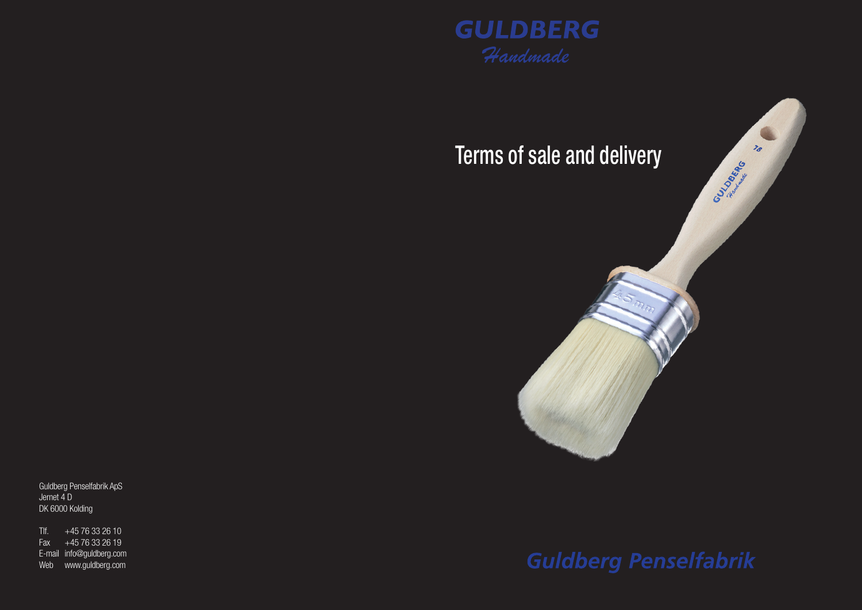



Guldberg Penselfabrik ApS Jernet 4 D DK 6000 Kolding

 $T$ lf.  $+4576332610$  $\overline{Fax}$  +45 76 33 26 19 E-mail info@guldberg.com Web www.guldberg.com

# **Guldberg Penselfabrik**